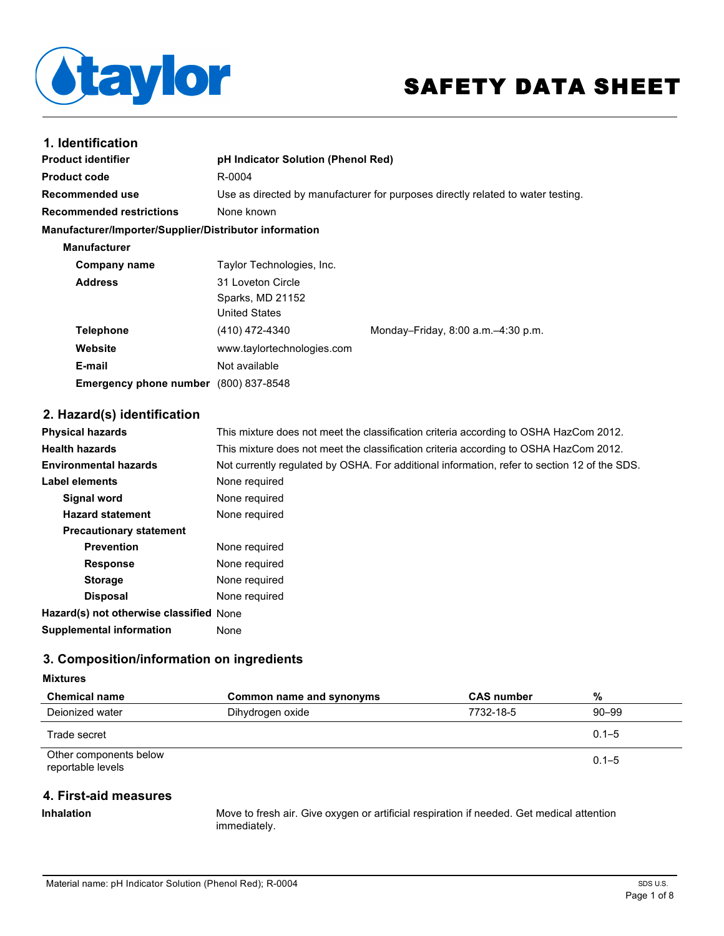

# SAFETY DATA SHEET

| 1. Identification                                      |                                    |                                                                                 |
|--------------------------------------------------------|------------------------------------|---------------------------------------------------------------------------------|
| <b>Product identifier</b>                              | pH Indicator Solution (Phenol Red) |                                                                                 |
| <b>Product code</b>                                    | R-0004                             |                                                                                 |
| Recommended use                                        |                                    | Use as directed by manufacturer for purposes directly related to water testing. |
| <b>Recommended restrictions</b>                        | None known                         |                                                                                 |
| Manufacturer/Importer/Supplier/Distributor information |                                    |                                                                                 |
| <b>Manufacturer</b>                                    |                                    |                                                                                 |
| Company name                                           | Taylor Technologies, Inc.          |                                                                                 |
| <b>Address</b>                                         | 31 Loveton Circle                  |                                                                                 |
|                                                        | Sparks, MD 21152                   |                                                                                 |
|                                                        | <b>United States</b>               |                                                                                 |
| <b>Telephone</b>                                       | (410) 472-4340                     | Monday-Friday, $8:00$ a.m. $-4:30$ p.m.                                         |
| Website                                                | www.taylortechnologies.com         |                                                                                 |
| E-mail                                                 | Not available                      |                                                                                 |
| <b>Emergency phone number</b> (800) 837-8548           |                                    |                                                                                 |

# **2. Hazard(s) identification**

| <b>Physical hazards</b>                 | This mixture does not meet the classification criteria according to OSHA HazCom 2012.        |
|-----------------------------------------|----------------------------------------------------------------------------------------------|
| <b>Health hazards</b>                   | This mixture does not meet the classification criteria according to OSHA HazCom 2012.        |
| <b>Environmental hazards</b>            | Not currently requiated by OSHA. For additional information, refer to section 12 of the SDS. |
| Label elements                          | None required                                                                                |
| Signal word                             | None required                                                                                |
| <b>Hazard statement</b>                 | None required                                                                                |
| <b>Precautionary statement</b>          |                                                                                              |
| <b>Prevention</b>                       | None required                                                                                |
| <b>Response</b>                         | None required                                                                                |
| <b>Storage</b>                          | None required                                                                                |
| <b>Disposal</b>                         | None required                                                                                |
| Hazard(s) not otherwise classified None |                                                                                              |
| <b>Supplemental information</b>         | None                                                                                         |

# **3. Composition/information on ingredients**

## **Mixtures**

| <b>Chemical name</b>                        | Common name and synonyms | <b>CAS number</b> | %         |
|---------------------------------------------|--------------------------|-------------------|-----------|
| Deionized water                             | Dihydrogen oxide         | 7732-18-5         | $90 - 99$ |
| Trade secret                                |                          |                   | $0.1 - 5$ |
| Other components below<br>reportable levels |                          |                   | $0.1 - 5$ |

# **4. First-aid measures**

**Inhalation** Move to fresh air. Give oxygen or artificial respiration if needed. Get medical attention immediately.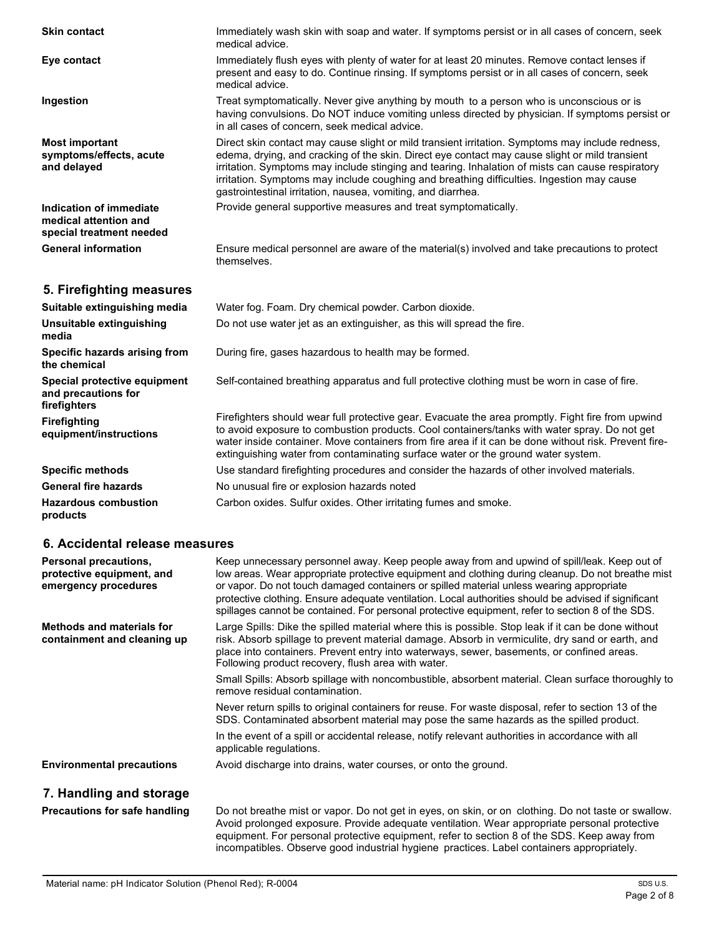| <b>Skin contact</b>                                                          | Immediately wash skin with soap and water. If symptoms persist or in all cases of concern, seek<br>medical advice.                                                                                                                                                                                                                                                                                                                                                  |
|------------------------------------------------------------------------------|---------------------------------------------------------------------------------------------------------------------------------------------------------------------------------------------------------------------------------------------------------------------------------------------------------------------------------------------------------------------------------------------------------------------------------------------------------------------|
| Eye contact                                                                  | Immediately flush eyes with plenty of water for at least 20 minutes. Remove contact lenses if<br>present and easy to do. Continue rinsing. If symptoms persist or in all cases of concern, seek<br>medical advice.                                                                                                                                                                                                                                                  |
| Ingestion                                                                    | Treat symptomatically. Never give anything by mouth to a person who is unconscious or is<br>having convulsions. Do NOT induce vomiting unless directed by physician. If symptoms persist or<br>in all cases of concern, seek medical advice.                                                                                                                                                                                                                        |
| <b>Most important</b><br>symptoms/effects, acute<br>and delayed              | Direct skin contact may cause slight or mild transient irritation. Symptoms may include redness,<br>edema, drying, and cracking of the skin. Direct eye contact may cause slight or mild transient<br>irritation. Symptoms may include stinging and tearing. Inhalation of mists can cause respiratory<br>irritation. Symptoms may include coughing and breathing difficulties. Ingestion may cause<br>gastrointestinal irritation, nausea, vomiting, and diarrhea. |
| Indication of immediate<br>medical attention and<br>special treatment needed | Provide general supportive measures and treat symptomatically.                                                                                                                                                                                                                                                                                                                                                                                                      |
| <b>General information</b>                                                   | Ensure medical personnel are aware of the material(s) involved and take precautions to protect<br>themselves.                                                                                                                                                                                                                                                                                                                                                       |
| 5. Firefighting measures                                                     |                                                                                                                                                                                                                                                                                                                                                                                                                                                                     |
| Suitable extinguishing media                                                 | Water fog. Foam. Dry chemical powder. Carbon dioxide.                                                                                                                                                                                                                                                                                                                                                                                                               |
| Unsuitable extinguishing<br>media                                            | Do not use water jet as an extinguisher, as this will spread the fire.                                                                                                                                                                                                                                                                                                                                                                                              |
| Specific hazards arising from<br>the chemical                                | During fire, gases hazardous to health may be formed.                                                                                                                                                                                                                                                                                                                                                                                                               |
| Special protective equipment<br>and precautions for<br>firefighters          | Self-contained breathing apparatus and full protective clothing must be worn in case of fire.                                                                                                                                                                                                                                                                                                                                                                       |
| <b>Firefighting</b><br>equipment/instructions                                | Firefighters should wear full protective gear. Evacuate the area promptly. Fight fire from upwind<br>to avoid exposure to combustion products. Cool containers/tanks with water spray. Do not get<br>water inside container. Move containers from fire area if it can be done without risk. Prevent fire-<br>extinguishing water from contaminating surface water or the ground water system.                                                                       |
| <b>Specific methods</b>                                                      | Use standard firefighting procedures and consider the hazards of other involved materials.                                                                                                                                                                                                                                                                                                                                                                          |
| <b>General fire hazards</b>                                                  | No unusual fire or explosion hazards noted                                                                                                                                                                                                                                                                                                                                                                                                                          |
| <b>Hazardous combustion</b><br>products                                      | Carbon oxides. Sulfur oxides. Other irritating fumes and smoke.                                                                                                                                                                                                                                                                                                                                                                                                     |

## **6. Accidental release measures**

| <b>Personal precautions,</b><br>protective equipment, and<br>emergency procedures | Keep unnecessary personnel away. Keep people away from and upwind of spill/leak. Keep out of<br>low areas. Wear appropriate protective equipment and clothing during cleanup. Do not breathe mist<br>or vapor. Do not touch damaged containers or spilled material unless wearing appropriate<br>protective clothing. Ensure adequate ventilation. Local authorities should be advised if significant<br>spillages cannot be contained. For personal protective equipment, refer to section 8 of the SDS. |
|-----------------------------------------------------------------------------------|-----------------------------------------------------------------------------------------------------------------------------------------------------------------------------------------------------------------------------------------------------------------------------------------------------------------------------------------------------------------------------------------------------------------------------------------------------------------------------------------------------------|
| <b>Methods and materials for</b><br>containment and cleaning up                   | Large Spills: Dike the spilled material where this is possible. Stop leak if it can be done without<br>risk. Absorb spillage to prevent material damage. Absorb in vermiculite, dry sand or earth, and<br>place into containers. Prevent entry into waterways, sewer, basements, or confined areas.<br>Following product recovery, flush area with water.                                                                                                                                                 |
|                                                                                   | Small Spills: Absorb spillage with noncombustible, absorbent material. Clean surface thoroughly to<br>remove residual contamination.                                                                                                                                                                                                                                                                                                                                                                      |
|                                                                                   | Never return spills to original containers for reuse. For waste disposal, refer to section 13 of the<br>SDS. Contaminated absorbent material may pose the same hazards as the spilled product.                                                                                                                                                                                                                                                                                                            |
|                                                                                   | In the event of a spill or accidental release, notify relevant authorities in accordance with all<br>applicable regulations.                                                                                                                                                                                                                                                                                                                                                                              |
| <b>Environmental precautions</b>                                                  | Avoid discharge into drains, water courses, or onto the ground.                                                                                                                                                                                                                                                                                                                                                                                                                                           |
| 7. Handling and storage                                                           |                                                                                                                                                                                                                                                                                                                                                                                                                                                                                                           |
| <b>Precautions for safe handling</b>                                              | Do not breathe mist or vapor. Do not get in eyes, on skin, or on clothing. Do not taste or swallow.<br>Avoid prolonged exposure. Provide adequate ventilation. Wear appropriate personal protective<br>equipment. For personal protective equipment, refer to section 8 of the SDS. Keep away from                                                                                                                                                                                                        |

incompatibles. Observe good industrial hygiene practices. Label containers appropriately.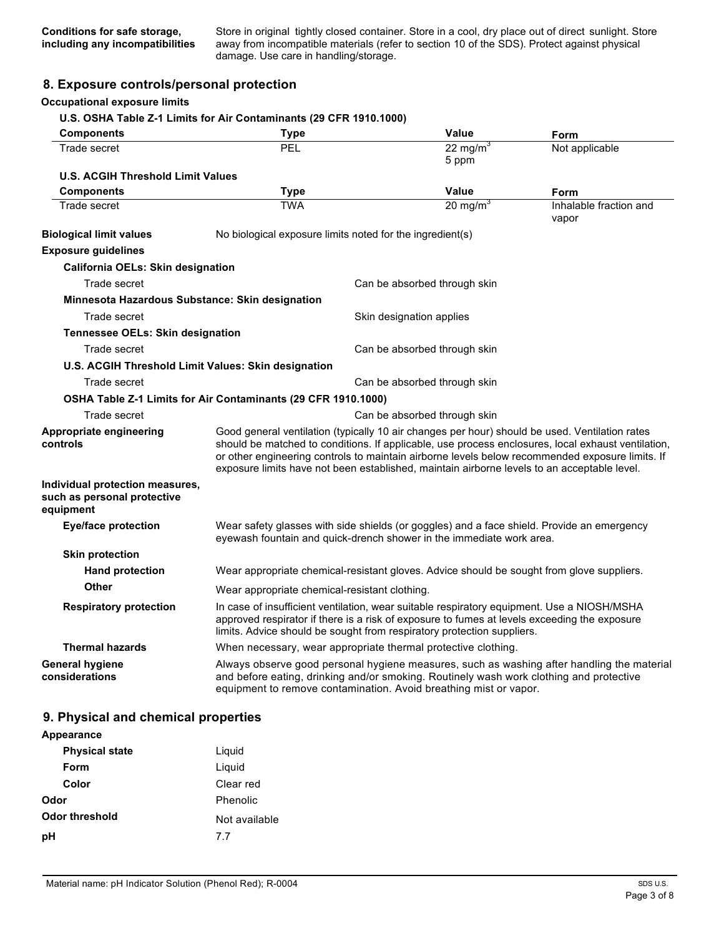Store in original tightly closed container. Store in a cool, dry place out of direct sunlight. Store away from incompatible materials (refer to section 10 of the SDS). Protect against physical damage. Use care in handling/storage.

## **8. Exposure controls/personal protection**

## **Occupational exposure limits**

## **U.S. OSHA Table Z-1 Limits for Air Contaminants (29 CFR 1910.1000)**

| <b>Components</b>                                                           | <b>Type</b>                                                                                                                                                                                                                                                                                                                                                                                            | <b>Value</b>                  | Form                            |
|-----------------------------------------------------------------------------|--------------------------------------------------------------------------------------------------------------------------------------------------------------------------------------------------------------------------------------------------------------------------------------------------------------------------------------------------------------------------------------------------------|-------------------------------|---------------------------------|
| Trade secret                                                                | <b>PEL</b>                                                                                                                                                                                                                                                                                                                                                                                             | 22 mg/m <sup>3</sup><br>5 ppm | Not applicable                  |
| <b>U.S. ACGIH Threshold Limit Values</b>                                    |                                                                                                                                                                                                                                                                                                                                                                                                        |                               |                                 |
| <b>Components</b>                                                           | <b>Type</b>                                                                                                                                                                                                                                                                                                                                                                                            | Value                         | Form                            |
| Trade secret                                                                | <b>TWA</b>                                                                                                                                                                                                                                                                                                                                                                                             | 20 mg/m $3$                   | Inhalable fraction and<br>vapor |
| <b>Biological limit values</b>                                              | No biological exposure limits noted for the ingredient(s)                                                                                                                                                                                                                                                                                                                                              |                               |                                 |
| <b>Exposure guidelines</b>                                                  |                                                                                                                                                                                                                                                                                                                                                                                                        |                               |                                 |
| <b>California OELs: Skin designation</b>                                    |                                                                                                                                                                                                                                                                                                                                                                                                        |                               |                                 |
| Trade secret                                                                |                                                                                                                                                                                                                                                                                                                                                                                                        | Can be absorbed through skin  |                                 |
| Minnesota Hazardous Substance: Skin designation                             |                                                                                                                                                                                                                                                                                                                                                                                                        |                               |                                 |
| Trade secret                                                                |                                                                                                                                                                                                                                                                                                                                                                                                        | Skin designation applies      |                                 |
| Tennessee OELs: Skin designation                                            |                                                                                                                                                                                                                                                                                                                                                                                                        |                               |                                 |
| Trade secret                                                                |                                                                                                                                                                                                                                                                                                                                                                                                        | Can be absorbed through skin  |                                 |
| U.S. ACGIH Threshold Limit Values: Skin designation                         |                                                                                                                                                                                                                                                                                                                                                                                                        |                               |                                 |
| Trade secret                                                                |                                                                                                                                                                                                                                                                                                                                                                                                        | Can be absorbed through skin  |                                 |
|                                                                             | OSHA Table Z-1 Limits for Air Contaminants (29 CFR 1910.1000)                                                                                                                                                                                                                                                                                                                                          |                               |                                 |
| Trade secret                                                                |                                                                                                                                                                                                                                                                                                                                                                                                        | Can be absorbed through skin  |                                 |
| Appropriate engineering<br>controls                                         | Good general ventilation (typically 10 air changes per hour) should be used. Ventilation rates<br>should be matched to conditions. If applicable, use process enclosures, local exhaust ventilation,<br>or other engineering controls to maintain airborne levels below recommended exposure limits. If<br>exposure limits have not been established, maintain airborne levels to an acceptable level. |                               |                                 |
| Individual protection measures,<br>such as personal protective<br>equipment |                                                                                                                                                                                                                                                                                                                                                                                                        |                               |                                 |
| <b>Eye/face protection</b>                                                  | Wear safety glasses with side shields (or goggles) and a face shield. Provide an emergency<br>eyewash fountain and quick-drench shower in the immediate work area.                                                                                                                                                                                                                                     |                               |                                 |
| <b>Skin protection</b>                                                      |                                                                                                                                                                                                                                                                                                                                                                                                        |                               |                                 |
| <b>Hand protection</b>                                                      | Wear appropriate chemical-resistant gloves. Advice should be sought from glove suppliers.                                                                                                                                                                                                                                                                                                              |                               |                                 |
| <b>Other</b>                                                                | Wear appropriate chemical-resistant clothing.                                                                                                                                                                                                                                                                                                                                                          |                               |                                 |
| <b>Respiratory protection</b>                                               | In case of insufficient ventilation, wear suitable respiratory equipment. Use a NIOSH/MSHA<br>approved respirator if there is a risk of exposure to fumes at levels exceeding the exposure<br>limits. Advice should be sought from respiratory protection suppliers.                                                                                                                                   |                               |                                 |
| <b>Thermal hazards</b>                                                      | When necessary, wear appropriate thermal protective clothing.                                                                                                                                                                                                                                                                                                                                          |                               |                                 |
| <b>General hygiene</b><br>considerations                                    | Always observe good personal hygiene measures, such as washing after handling the material<br>and before eating, drinking and/or smoking. Routinely wash work clothing and protective<br>equipment to remove contamination. Avoid breathing mist or vapor.                                                                                                                                             |                               |                                 |

## **9. Physical and chemical properties**

| Appearance            |               |
|-----------------------|---------------|
| <b>Physical state</b> | Liquid        |
| Form                  | Liguid        |
| Color                 | Clear red     |
| Odor                  | Phenolic      |
| Odor threshold        | Not available |
| pН                    | 77            |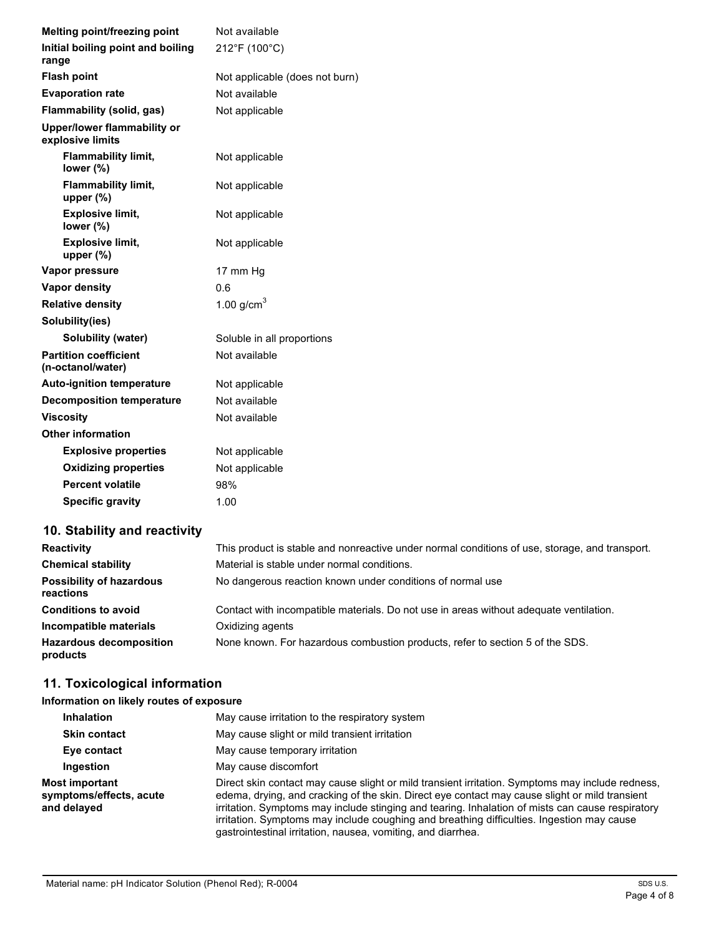| <b>Melting point/freezing point</b>               | Not available                  |
|---------------------------------------------------|--------------------------------|
| Initial boiling point and boiling                 | 212°F (100°C)                  |
| range                                             |                                |
| <b>Flash point</b>                                | Not applicable (does not burn) |
| <b>Evaporation rate</b>                           | Not available                  |
| Flammability (solid, gas)                         | Not applicable                 |
| Upper/lower flammability or<br>explosive limits   |                                |
| <b>Flammability limit,</b><br>lower (%)           | Not applicable                 |
| Flammability limit,<br>upper $(\%)$               | Not applicable                 |
| <b>Explosive limit,</b><br>lower $(\%)$           | Not applicable                 |
| <b>Explosive limit,</b><br>upper $(\%)$           | Not applicable                 |
| Vapor pressure                                    | 17 mm Hg                       |
| Vapor density                                     | 0.6                            |
| <b>Relative density</b>                           | 1.00 $g/cm3$                   |
| Solubility(ies)                                   |                                |
| Solubility (water)                                | Soluble in all proportions     |
| <b>Partition coefficient</b><br>(n-octanol/water) | Not available                  |
| <b>Auto-ignition temperature</b>                  | Not applicable                 |
| <b>Decomposition temperature</b>                  | Not available                  |
| <b>Viscosity</b>                                  | Not available                  |
| <b>Other information</b>                          |                                |
| <b>Explosive properties</b>                       | Not applicable                 |
| <b>Oxidizing properties</b>                       | Not applicable                 |
| <b>Percent volatile</b>                           | 98%                            |
| <b>Specific gravity</b>                           | 1.00                           |

# **10. Stability and reactivity**

| <b>Reactivity</b>                            | This product is stable and nonreactive under normal conditions of use, storage, and transport. |
|----------------------------------------------|------------------------------------------------------------------------------------------------|
| <b>Chemical stability</b>                    | Material is stable under normal conditions.                                                    |
| <b>Possibility of hazardous</b><br>reactions | No dangerous reaction known under conditions of normal use                                     |
| <b>Conditions to avoid</b>                   | Contact with incompatible materials. Do not use in areas without adequate ventilation.         |
| Incompatible materials                       | Oxidizing agents                                                                               |
| <b>Hazardous decomposition</b><br>products   | None known. For hazardous combustion products, refer to section 5 of the SDS.                  |

# **11. Toxicological information**

## **Information on likely routes of exposure**

| <b>Inhalation</b>                                        | May cause irritation to the respiratory system                                                                                                                                                                                                                                                                                                                                                                                                                      |
|----------------------------------------------------------|---------------------------------------------------------------------------------------------------------------------------------------------------------------------------------------------------------------------------------------------------------------------------------------------------------------------------------------------------------------------------------------------------------------------------------------------------------------------|
| <b>Skin contact</b>                                      | May cause slight or mild transient irritation                                                                                                                                                                                                                                                                                                                                                                                                                       |
| Eye contact                                              | May cause temporary irritation                                                                                                                                                                                                                                                                                                                                                                                                                                      |
| Ingestion                                                | May cause discomfort                                                                                                                                                                                                                                                                                                                                                                                                                                                |
| Most important<br>symptoms/effects, acute<br>and delayed | Direct skin contact may cause slight or mild transient irritation. Symptoms may include redness,<br>edema, drying, and cracking of the skin. Direct eye contact may cause slight or mild transient<br>irritation. Symptoms may include stinging and tearing. Inhalation of mists can cause respiratory<br>irritation. Symptoms may include coughing and breathing difficulties. Ingestion may cause<br>gastrointestinal irritation, nausea, vomiting, and diarrhea. |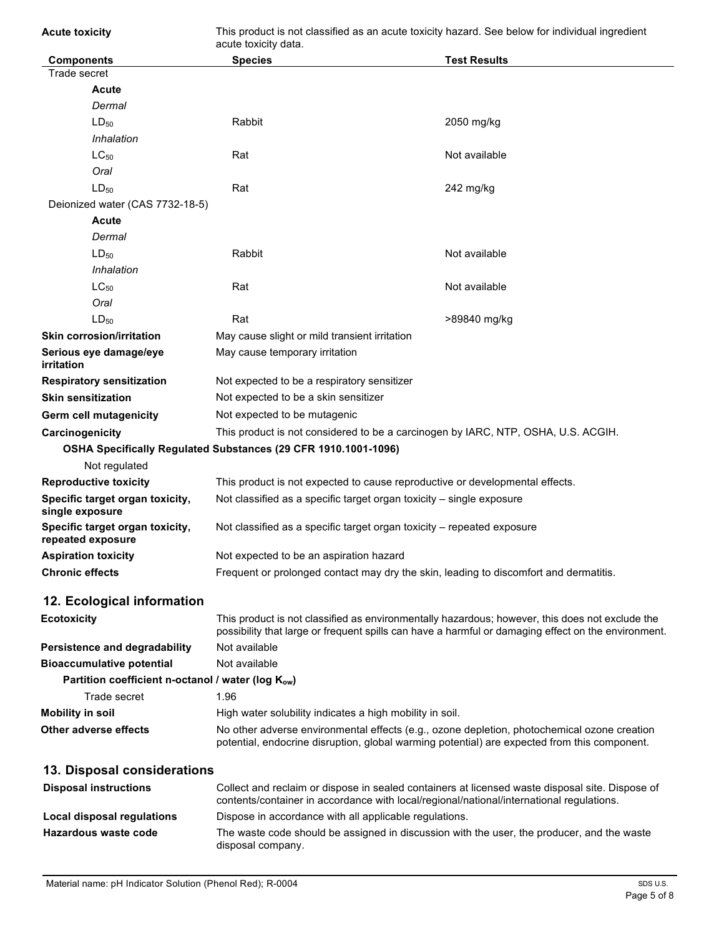| <b>Acute toxicity</b>                                | This product is not classified as an acute toxicity hazard. See below for individual ingredient<br>acute toxicity data.                                                                                |                     |
|------------------------------------------------------|--------------------------------------------------------------------------------------------------------------------------------------------------------------------------------------------------------|---------------------|
| <b>Components</b>                                    | <b>Species</b>                                                                                                                                                                                         | <b>Test Results</b> |
| Trade secret                                         |                                                                                                                                                                                                        |                     |
| Acute                                                |                                                                                                                                                                                                        |                     |
| Dermal                                               |                                                                                                                                                                                                        |                     |
| $LD_{50}$                                            | Rabbit                                                                                                                                                                                                 | 2050 mg/kg          |
| Inhalation                                           |                                                                                                                                                                                                        |                     |
| $LC_{50}$                                            | Rat                                                                                                                                                                                                    | Not available       |
| Oral                                                 |                                                                                                                                                                                                        |                     |
| $LD_{50}$                                            | Rat                                                                                                                                                                                                    | 242 mg/kg           |
| Deionized water (CAS 7732-18-5)                      |                                                                                                                                                                                                        |                     |
| Acute                                                |                                                                                                                                                                                                        |                     |
| Dermal                                               |                                                                                                                                                                                                        |                     |
| $LD_{50}$                                            | Rabbit                                                                                                                                                                                                 | Not available       |
| Inhalation                                           |                                                                                                                                                                                                        |                     |
| $LC_{50}$                                            | Rat                                                                                                                                                                                                    | Not available       |
| Oral                                                 |                                                                                                                                                                                                        |                     |
| $LD_{50}$                                            | Rat                                                                                                                                                                                                    | >89840 mg/kg        |
| <b>Skin corrosion/irritation</b>                     | May cause slight or mild transient irritation                                                                                                                                                          |                     |
| Serious eye damage/eye<br><b>irritation</b>          | May cause temporary irritation                                                                                                                                                                         |                     |
| <b>Respiratory sensitization</b>                     | Not expected to be a respiratory sensitizer                                                                                                                                                            |                     |
| <b>Skin sensitization</b>                            | Not expected to be a skin sensitizer                                                                                                                                                                   |                     |
| Germ cell mutagenicity                               | Not expected to be mutagenic                                                                                                                                                                           |                     |
| Carcinogenicity                                      | This product is not considered to be a carcinogen by IARC, NTP, OSHA, U.S. ACGIH.                                                                                                                      |                     |
|                                                      | OSHA Specifically Regulated Substances (29 CFR 1910.1001-1096)                                                                                                                                         |                     |
| Not regulated                                        |                                                                                                                                                                                                        |                     |
| <b>Reproductive toxicity</b>                         | This product is not expected to cause reproductive or developmental effects.                                                                                                                           |                     |
| Specific target organ toxicity,<br>single exposure   | Not classified as a specific target organ toxicity - single exposure                                                                                                                                   |                     |
| Specific target organ toxicity,<br>repeated exposure | Not classified as a specific target organ toxicity – repeated exposure                                                                                                                                 |                     |
| <b>Aspiration toxicity</b>                           | Not expected to be an aspiration hazard                                                                                                                                                                |                     |
| <b>Chronic effects</b>                               | Frequent or prolonged contact may dry the skin, leading to discomfort and dermatitis.                                                                                                                  |                     |
| 12. Ecological information                           |                                                                                                                                                                                                        |                     |
| <b>Ecotoxicity</b>                                   | This product is not classified as environmentally hazardous; however, this does not exclude the<br>possibility that large or frequent spills can have a harmful or damaging effect on the environment. |                     |
| <b>Persistence and degradability</b>                 | Not available                                                                                                                                                                                          |                     |
| <b>Bioaccumulative potential</b>                     | Not available                                                                                                                                                                                          |                     |
| Partition coefficient n-octanol / water (log Kow)    |                                                                                                                                                                                                        |                     |
| Trade secret                                         | 1.96                                                                                                                                                                                                   |                     |
| <b>Mobility in soil</b>                              | High water solubility indicates a high mobility in soil.                                                                                                                                               |                     |
| <b>Other adverse effects</b>                         | No other adverse environmental effects (e.g., ozone depletion, photochemical ozone creation<br>potential, endocrine disruption, global warming potential) are expected from this component.            |                     |
| 13. Disposal considerations                          |                                                                                                                                                                                                        |                     |
| <b>Disposal instructions</b>                         | Collect and reclaim or dispose in sealed containers at licensed waste disposal site. Dispose of<br>contents/container in accordance with local/regional/national/international regulations.            |                     |
| <b>Local disposal regulations</b>                    | Dispose in accordance with all applicable regulations.                                                                                                                                                 |                     |
| Hazardous waste code                                 | The waste code should be assigned in discussion with the user, the producer, and the waste<br>disposal company.                                                                                        |                     |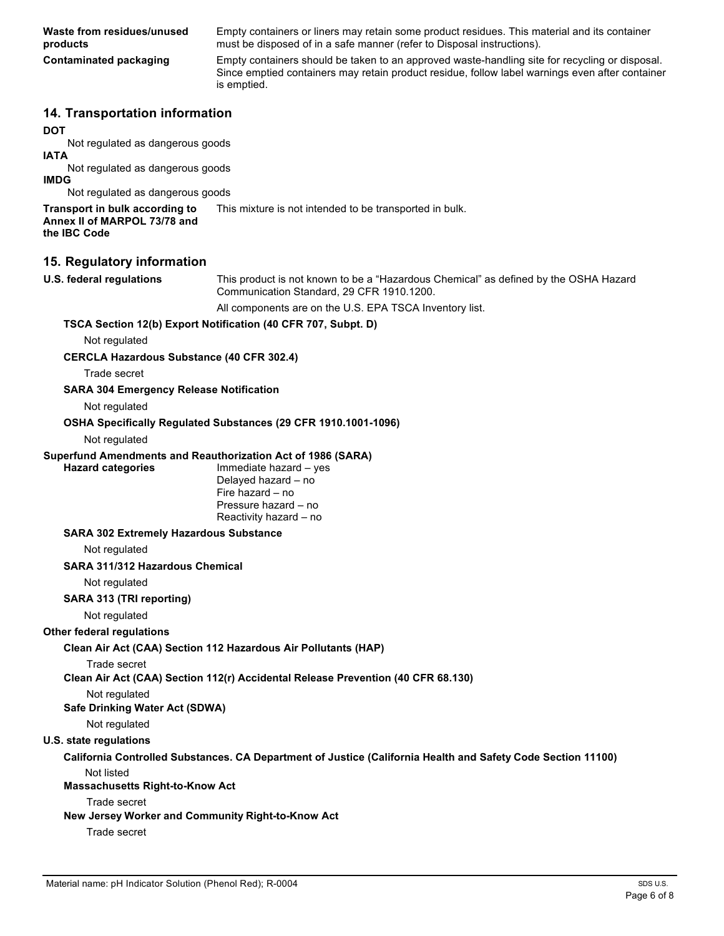**Waste from residues/unused products**

Empty containers or liners may retain some product residues. This material and its container must be disposed of in a safe manner (refer to Disposal instructions).

**Contaminated packaging** Empty containers should be taken to an approved waste-handling site for recycling or disposal. Since emptied containers may retain product residue, follow label warnings even after container is emptied.

## **14. Transportation information**

#### **DOT**

Not regulated as dangerous goods

## **IATA**

Not regulated as dangerous goods **IMDG**

Not regulated as dangerous goods **Transport in bulk according to**  This mixture is not intended to be transported in bulk.

**Annex II of MARPOL 73/78 and the IBC Code**

## **15. Regulatory information**

**U.S. federal regulations** This product is not known to be a "Hazardous Chemical" as defined by the OSHA Hazard Communication Standard, 29 CFR 1910.1200.

All components are on the U.S. EPA TSCA Inventory list.

### **TSCA Section 12(b) Export Notification (40 CFR 707, Subpt. D)**

Not regulated

### **CERCLA Hazardous Substance (40 CFR 302.4)**

Trade secret

#### **SARA 304 Emergency Release Notification**

Not regulated

#### **OSHA Specifically Regulated Substances (29 CFR 1910.1001-1096)**

#### Not regulated

### **Superfund Amendments and Reauthorization Act of 1986 (SARA)**

**Hazard categories** Immediate hazard – yes Delayed hazard – no Fire hazard – no Pressure hazard – no Reactivity hazard – no

#### **SARA 302 Extremely Hazardous Substance**

Not regulated

#### **SARA 311/312 Hazardous Chemical**

Not regulated

### **SARA 313 (TRI reporting)**

Not regulated

### **Other federal regulations**

**Clean Air Act (CAA) Section 112 Hazardous Air Pollutants (HAP)**

### Trade secret

**Clean Air Act (CAA) Section 112(r) Accidental Release Prevention (40 CFR 68.130)**

## Not regulated

# **Safe Drinking Water Act (SDWA)**

Not regulated

# **U.S. state regulations**

#### **California Controlled Substances. CA Department of Justice (California Health and Safety Code Section 11100)** Not listed

**Massachusetts Right-to-Know Act**

# Trade secret

# **New Jersey Worker and Community Right-to-Know Act**

Trade secret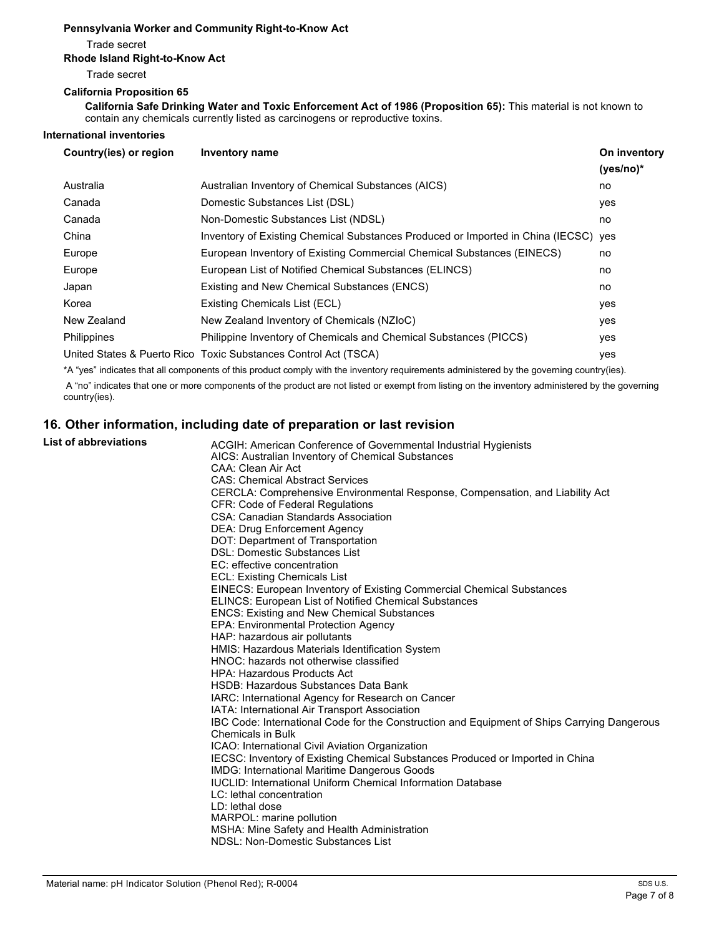#### **Pennsylvania Worker and Community Right-to-Know Act**

Trade secret

#### **Rhode Island Right-to-Know Act**

Trade secret

#### **California Proposition 65**

**California Safe Drinking Water and Toxic Enforcement Act of 1986 (Proposition 65):** This material is not known to contain any chemicals currently listed as carcinogens or reproductive toxins.

#### **International inventories**

| Country(ies) or region | Inventory name                                                                      | On inventory<br>$(yes/no)*$ |
|------------------------|-------------------------------------------------------------------------------------|-----------------------------|
| Australia              | Australian Inventory of Chemical Substances (AICS)                                  | no                          |
| Canada                 | Domestic Substances List (DSL)                                                      | yes                         |
| Canada                 | Non-Domestic Substances List (NDSL)                                                 | no                          |
| China                  | Inventory of Existing Chemical Substances Produced or Imported in China (IECSC) yes |                             |
| Europe                 | European Inventory of Existing Commercial Chemical Substances (EINECS)              | no                          |
| Europe                 | European List of Notified Chemical Substances (ELINCS)                              | no                          |
| Japan                  | Existing and New Chemical Substances (ENCS)                                         | no                          |
| Korea                  | Existing Chemicals List (ECL)                                                       | yes                         |
| New Zealand            | New Zealand Inventory of Chemicals (NZIoC)                                          | yes                         |
| Philippines            | Philippine Inventory of Chemicals and Chemical Substances (PICCS)                   | yes                         |
|                        | United States & Puerto Rico Toxic Substances Control Act (TSCA)                     | yes                         |

\*A "yes" indicates that all components of this product comply with the inventory requirements administered by the governing country(ies).

A "no" indicates that one or more components of the product are not listed or exempt from listing on the inventory administered by the governing country(ies).

# **16. Other information, including date of preparation or last revision**

# List of abbreviations

| τ or appreviations | ACGIH: American Conference of Governmental Industrial Hygienists                            |
|--------------------|---------------------------------------------------------------------------------------------|
|                    | AICS: Australian Inventory of Chemical Substances                                           |
|                    | CAA: Clean Air Act                                                                          |
|                    | <b>CAS: Chemical Abstract Services</b>                                                      |
|                    | CERCLA: Comprehensive Environmental Response, Compensation, and Liability Act               |
|                    | <b>CFR: Code of Federal Requiations</b>                                                     |
|                    | <b>CSA: Canadian Standards Association</b>                                                  |
|                    | <b>DEA: Drug Enforcement Agency</b>                                                         |
|                    | DOT: Department of Transportation                                                           |
|                    | <b>DSL: Domestic Substances List</b>                                                        |
|                    | EC: effective concentration                                                                 |
|                    | ECL: Existing Chemicals List                                                                |
|                    | EINECS: European Inventory of Existing Commercial Chemical Substances                       |
|                    | <b>ELINCS: European List of Notified Chemical Substances</b>                                |
|                    | <b>ENCS: Existing and New Chemical Substances</b>                                           |
|                    | <b>EPA: Environmental Protection Agency</b>                                                 |
|                    | HAP: hazardous air pollutants                                                               |
|                    | HMIS: Hazardous Materials Identification System                                             |
|                    | HNOC: hazards not otherwise classified                                                      |
|                    | <b>HPA: Hazardous Products Act</b>                                                          |
|                    | HSDB: Hazardous Substances Data Bank                                                        |
|                    | IARC: International Agency for Research on Cancer                                           |
|                    | IATA: International Air Transport Association                                               |
|                    | IBC Code: International Code for the Construction and Equipment of Ships Carrying Dangerous |
|                    | <b>Chemicals in Bulk</b>                                                                    |
|                    | ICAO: International Civil Aviation Organization                                             |
|                    | IECSC: Inventory of Existing Chemical Substances Produced or Imported in China              |
|                    | <b>IMDG: International Maritime Dangerous Goods</b>                                         |
|                    | <b>IUCLID: International Uniform Chemical Information Database</b>                          |
|                    | LC: lethal concentration                                                                    |
|                    | LD: lethal dose                                                                             |
|                    | MARPOL: marine pollution                                                                    |
|                    | MSHA: Mine Safety and Health Administration                                                 |
|                    | NDSL: Non-Domestic Substances List                                                          |